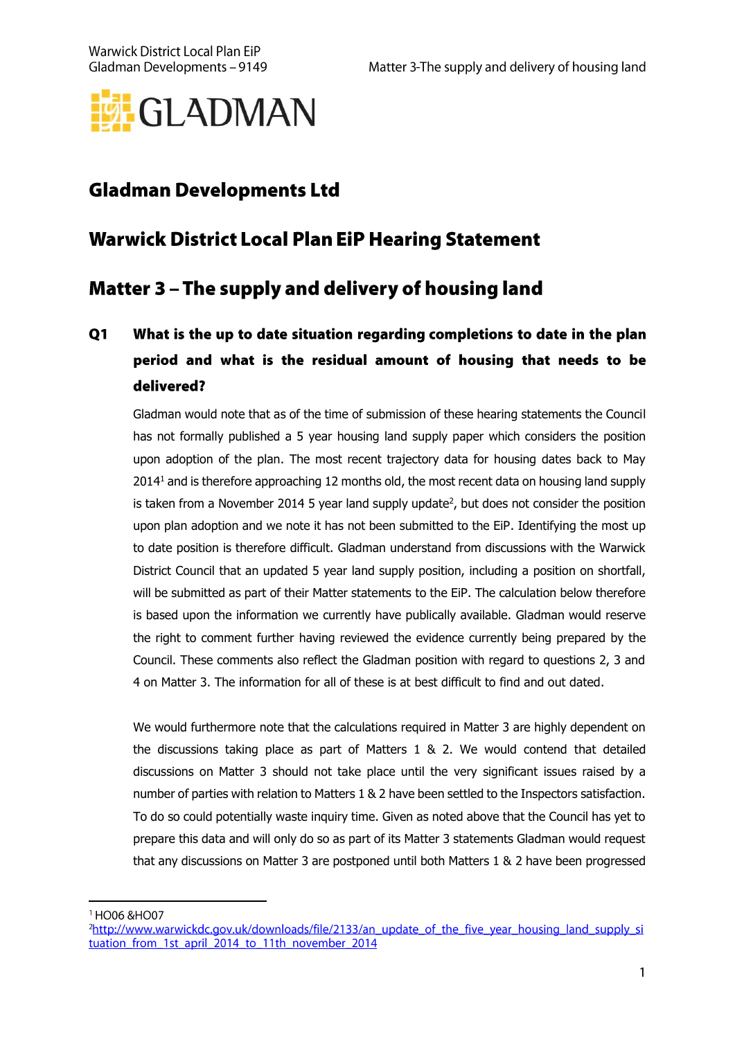

# **Gladman Developments Ltd**

## **Warwick District Local Plan EiP Hearing Statement**

# Matter 3 - The supply and delivery of housing land

## $Q1$ What is the up to date situation regarding completions to date in the plan period and what is the residual amount of housing that needs to be delivered?

Gladman would note that as of the time of submission of these hearing statements the Council has not formally published a 5 year housing land supply paper which considers the position upon adoption of the plan. The most recent trajectory data for housing dates back to May  $2014<sup>1</sup>$  and is therefore approaching 12 months old, the most recent data on housing land supply is taken from a November 2014 5 year land supply update $<sup>2</sup>$ , but does not consider the position</sup> upon plan adoption and we note it has not been submitted to the EiP. Identifying the most up to date position is therefore difficult. Gladman understand from discussions with the Warwick District Council that an updated 5 year land supply position, including a position on shortfall, will be submitted as part of their Matter statements to the EiP. The calculation below therefore is based upon the information we currently have publically available. Gladman would reserve the right to comment further having reviewed the evidence currently being prepared by the Council. These comments also reflect the Gladman position with regard to questions 2, 3 and 4 on Matter 3. The information for all of these is at best difficult to find and out dated.

We would furthermore note that the calculations required in Matter 3 are highly dependent on the discussions taking place as part of Matters 1 & 2. We would contend that detailed discussions on Matter 3 should not take place until the very significant issues raised by a number of parties with relation to Matters 1 & 2 have been settled to the Inspectors satisfaction. To do so could potentially waste inquiry time. Given as noted above that the Council has yet to prepare this data and will only do so as part of its Matter 3 statements Gladman would request that any discussions on Matter 3 are postponed until both Matters 1 & 2 have been progressed

<sup>1</sup> HO06 & HO07

<sup>&</sup>lt;sup>2</sup>http://www.warwickdc.gov.uk/downloads/file/2133/an update of the five year housing land supply si tuation from 1st april 2014 to 11th november 2014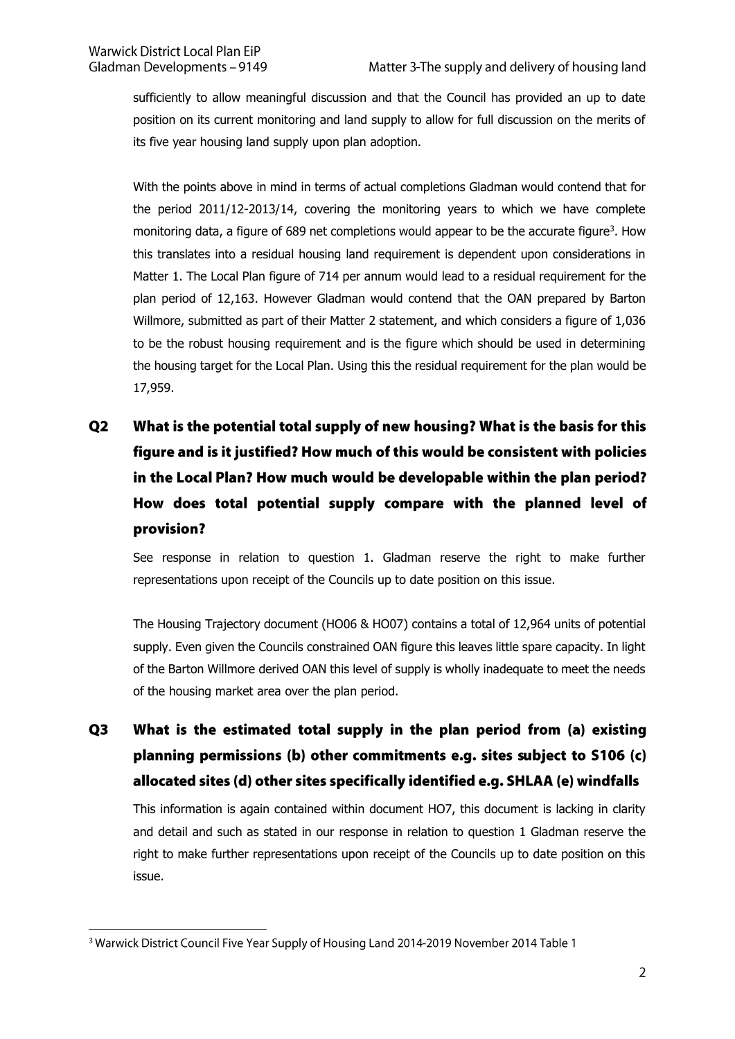sufficiently to allow meaningful discussion and that the Council has provided an up to date position on its current monitoring and land supply to allow for full discussion on the merits of its five year housing land supply upon plan adoption.

With the points above in mind in terms of actual completions Gladman would contend that for the period 2011/12-2013/14, covering the monitoring years to which we have complete monitoring data, a figure of 689 net completions would appear to be the accurate figure<sup>3</sup>. How this translates into a residual housing land requirement is dependent upon considerations in Matter 1. The Local Plan figure of 714 per annum would lead to a residual requirement for the plan period of 12,163. However Gladman would contend that the OAN prepared by Barton Willmore, submitted as part of their Matter 2 statement, and which considers a figure of 1,036 to be the robust housing requirement and is the figure which should be used in determining the housing target for the Local Plan. Using this the residual requirement for the plan would be 17,959.

 $Q<sub>2</sub>$ What is the potential total supply of new housing? What is the basis for this figure and is it justified? How much of this would be consistent with policies in the Local Plan? How much would be developable within the plan period? How does total potential supply compare with the planned level of provision?

See response in relation to question 1. Gladman reserve the right to make further representations upon receipt of the Councils up to date position on this issue.

The Housing Trajectory document (HO06 & HO07) contains a total of 12,964 units of potential supply. Even given the Councils constrained OAN figure this leaves little spare capacity. In light of the Barton Willmore derived OAN this level of supply is wholly inadequate to meet the needs of the housing market area over the plan period.

Q<sub>3</sub> What is the estimated total supply in the plan period from (a) existing planning permissions (b) other commitments e.g. sites subject to S106 (c) allocated sites (d) other sites specifically identified e.g. SHLAA (e) windfalls

This information is again contained within document HO7, this document is lacking in clarity and detail and such as stated in our response in relation to question 1 Gladman reserve the right to make further representations upon receipt of the Councils up to date position on this issue.

<sup>&</sup>lt;sup>3</sup> Warwick District Council Five Year Supply of Housing Land 2014-2019 November 2014 Table 1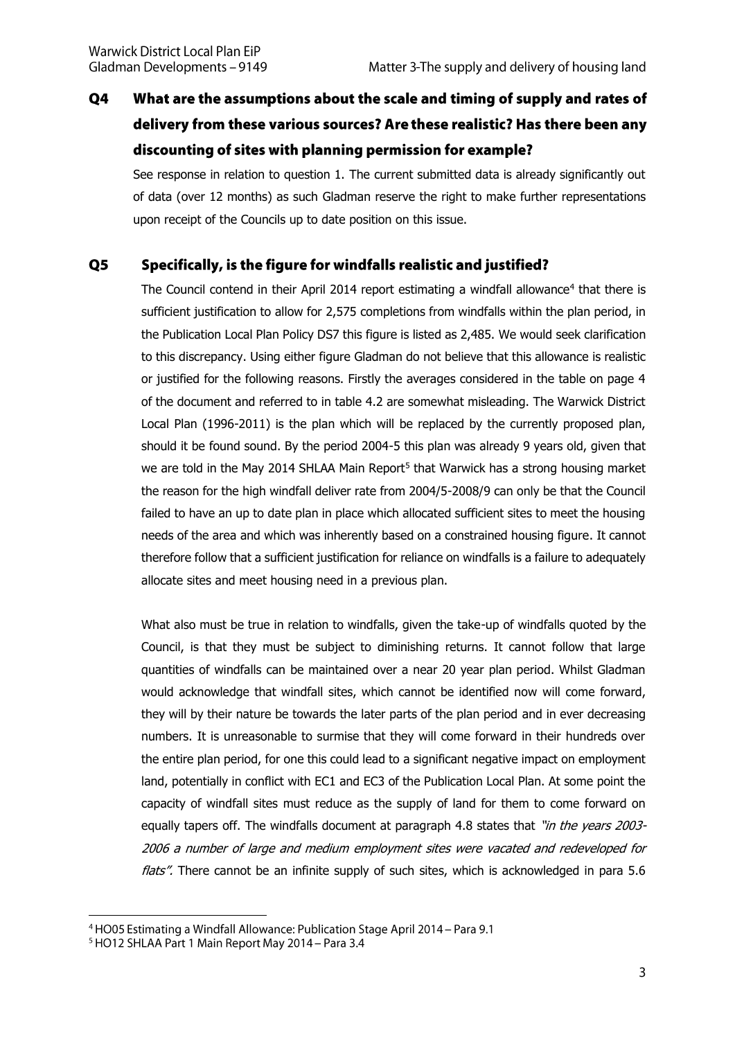### $Q<sub>4</sub>$ What are the assumptions about the scale and timing of supply and rates of delivery from these various sources? Are these realistic? Has there been any discounting of sites with planning permission for example?

See response in relation to question 1. The current submitted data is already significantly out of data (over 12 months) as such Gladman reserve the right to make further representations upon receipt of the Councils up to date position on this issue.

#### $\overline{\mathbf{Q}}$ Specifically, is the figure for windfalls realistic and justified?

The Council contend in their April 2014 report estimating a windfall allowance<sup>4</sup> that there is sufficient justification to allow for 2,575 completions from windfalls within the plan period, in the Publication Local Plan Policy DS7 this figure is listed as 2,485. We would seek clarification to this discrepancy. Using either figure Gladman do not believe that this allowance is realistic or justified for the following reasons. Firstly the averages considered in the table on page 4 of the document and referred to in table 4.2 are somewhat misleading. The Warwick District Local Plan (1996-2011) is the plan which will be replaced by the currently proposed plan, should it be found sound. By the period 2004-5 this plan was already 9 years old, given that we are told in the May 2014 SHLAA Main Report<sup>5</sup> that Warwick has a strong housing market the reason for the high windfall deliver rate from 2004/5-2008/9 can only be that the Council failed to have an up to date plan in place which allocated sufficient sites to meet the housing needs of the area and which was inherently based on a constrained housing figure. It cannot therefore follow that a sufficient justification for reliance on windfalls is a failure to adequately allocate sites and meet housing need in a previous plan.

What also must be true in relation to windfalls, given the take-up of windfalls quoted by the Council, is that they must be subject to diminishing returns. It cannot follow that large quantities of windfalls can be maintained over a near 20 year plan period. Whilst Gladman would acknowledge that windfall sites, which cannot be identified now will come forward, they will by their nature be towards the later parts of the plan period and in ever decreasing numbers. It is unreasonable to surmise that they will come forward in their hundreds over the entire plan period, for one this could lead to a significant negative impact on employment land, potentially in conflict with EC1 and EC3 of the Publication Local Plan. At some point the capacity of windfall sites must reduce as the supply of land for them to come forward on equally tapers off. The windfalls document at paragraph 4.8 states that "in the years 2003-2006 a number of large and medium employment sites were vacated and redeveloped for flats". There cannot be an infinite supply of such sites, which is acknowledged in para 5.6

<sup>&</sup>lt;sup>4</sup> HO05 Estimating a Windfall Allowance: Publication Stage April 2014 – Para 9.1

<sup>&</sup>lt;sup>5</sup> HO12 SHLAA Part 1 Main Report May 2014 - Para 3.4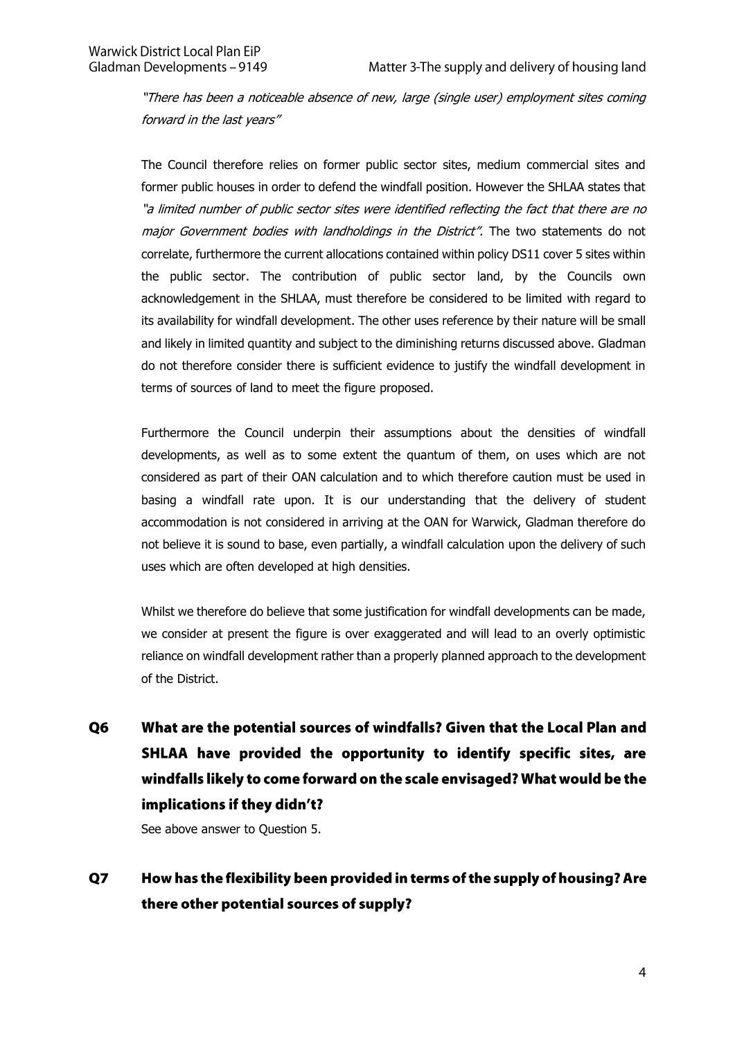"There has been a noticeable absence of new, large (single user) employment sites coming forward in the last years"

The Council therefore relies on former public sector sites, medium commercial sites and former public houses in order to defend the windfall position. However the SHLAA states that "a limited number of public sector sites were identified reflecting the fact that there are no major Government bodies with landholdings in the District". The two statements do not correlate, furthermore the current allocations contained within policy DS11 cover 5 sites within the public sector. The contribution of public sector land, by the Councils own acknowledgement in the SHLAA, must therefore be considered to be limited with regard to its availability for windfall development. The other uses reference by their nature will be small and likely in limited quantity and subject to the diminishing returns discussed above. Gladman do not therefore consider there is sufficient evidence to justify the windfall development in terms of sources of land to meet the figure proposed.

Furthermore the Council underpin their assumptions about the densities of windfall developments, as well as to some extent the quantum of them, on uses which are not considered as part of their OAN calculation and to which therefore caution must be used in basing a windfall rate upon. It is our understanding that the delivery of student accommodation is not considered in arriving at the OAN for Warwick, Gladman therefore do not believe it is sound to base, even partially, a windfall calculation upon the delivery of such uses which are often developed at high densities.

Whilst we therefore do believe that some justification for windfall developments can be made, we consider at present the figure is over exaggerated and will lead to an overly optimistic reliance on windfall development rather than a properly planned approach to the development of the District.

What are the potential sources of windfalls? Given that the Local Plan and Q<sub>6</sub> SHLAA have provided the opportunity to identify specific sites, are windfalls likely to come forward on the scale envisaged? What would be the implications if they didn't?

See above answer to Question 5.

 $Q7$ How has the flexibility been provided in terms of the supply of housing? Are there other potential sources of supply?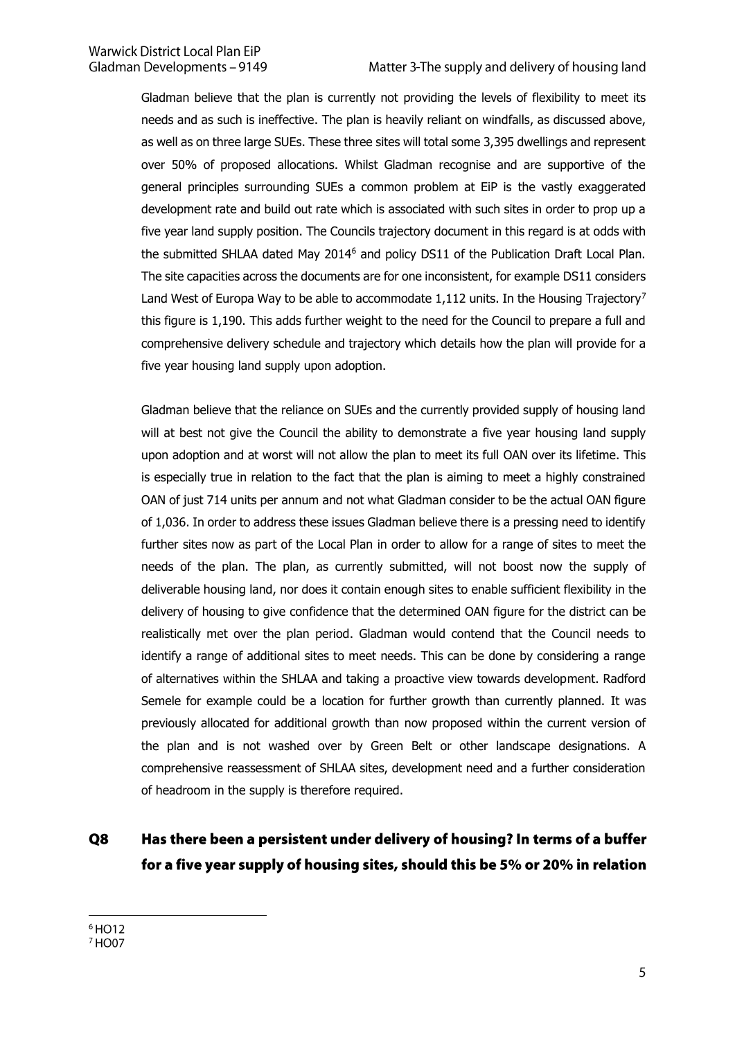Gladman believe that the plan is currently not providing the levels of flexibility to meet its needs and as such is ineffective. The plan is heavily reliant on windfalls, as discussed above, as well as on three large SUEs. These three sites will total some 3,395 dwellings and represent over 50% of proposed allocations. Whilst Gladman recognise and are supportive of the general principles surrounding SUEs a common problem at EiP is the vastly exaggerated development rate and build out rate which is associated with such sites in order to prop up a five year land supply position. The Councils trajectory document in this regard is at odds with the submitted SHLAA dated May 2014<sup>6</sup> and policy DS11 of the Publication Draft Local Plan. The site capacities across the documents are for one inconsistent, for example DS11 considers Land West of Europa Way to be able to accommodate 1,112 units. In the Housing Trajectory<sup>7</sup> this figure is 1,190. This adds further weight to the need for the Council to prepare a full and comprehensive delivery schedule and trajectory which details how the plan will provide for a five year housing land supply upon adoption.

Gladman believe that the reliance on SUEs and the currently provided supply of housing land will at best not give the Council the ability to demonstrate a five year housing land supply upon adoption and at worst will not allow the plan to meet its full OAN over its lifetime. This is especially true in relation to the fact that the plan is aiming to meet a highly constrained OAN of just 714 units per annum and not what Gladman consider to be the actual OAN figure of 1,036. In order to address these issues Gladman believe there is a pressing need to identify further sites now as part of the Local Plan in order to allow for a range of sites to meet the needs of the plan. The plan, as currently submitted, will not boost now the supply of deliverable housing land, nor does it contain enough sites to enable sufficient flexibility in the delivery of housing to give confidence that the determined OAN figure for the district can be realistically met over the plan period. Gladman would contend that the Council needs to identify a range of additional sites to meet needs. This can be done by considering a range of alternatives within the SHLAA and taking a proactive view towards development. Radford Semele for example could be a location for further growth than currently planned. It was previously allocated for additional growth than now proposed within the current version of the plan and is not washed over by Green Belt or other landscape designations. A comprehensive reassessment of SHLAA sites, development need and a further consideration of headroom in the supply is therefore required.

### Q8 Has there been a persistent under delivery of housing? In terms of a buffer for a five year supply of housing sites, should this be 5% or 20% in relation

 $6$ HO12

<sup>&</sup>lt;sup>7</sup> HO07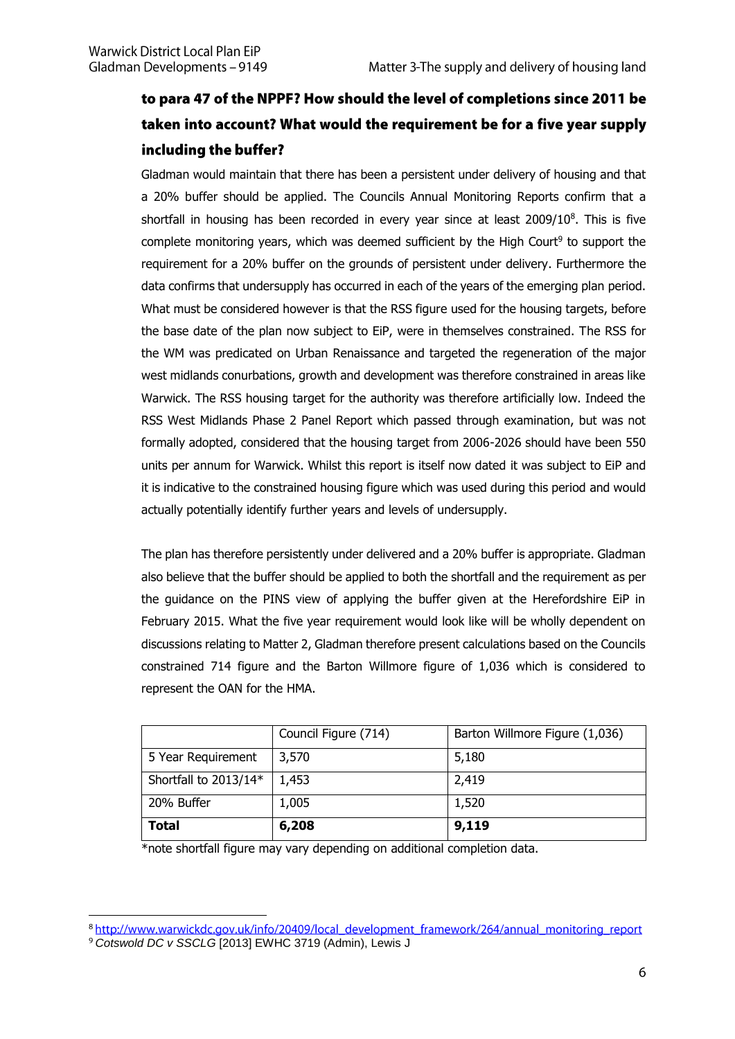# to para 47 of the NPPF? How should the level of completions since 2011 be taken into account? What would the requirement be for a five year supply including the buffer?

Gladman would maintain that there has been a persistent under delivery of housing and that a 20% buffer should be applied. The Councils Annual Monitoring Reports confirm that a shortfall in housing has been recorded in every year since at least  $2009/10^8$ . This is five complete monitoring years, which was deemed sufficient by the High Court<sup>9</sup> to support the requirement for a 20% buffer on the grounds of persistent under delivery. Furthermore the data confirms that undersupply has occurred in each of the years of the emerging plan period. What must be considered however is that the RSS figure used for the housing targets, before the base date of the plan now subject to EiP, were in themselves constrained. The RSS for the WM was predicated on Urban Renaissance and targeted the regeneration of the major west midlands conurbations, growth and development was therefore constrained in areas like Warwick. The RSS housing target for the authority was therefore artificially low. Indeed the RSS West Midlands Phase 2 Panel Report which passed through examination, but was not formally adopted, considered that the housing target from 2006-2026 should have been 550 units per annum for Warwick. Whilst this report is itself now dated it was subject to EiP and it is indicative to the constrained housing figure which was used during this period and would actually potentially identify further years and levels of undersupply.

The plan has therefore persistently under delivered and a 20% buffer is appropriate. Gladman also believe that the buffer should be applied to both the shortfall and the requirement as per the guidance on the PINS view of applying the buffer given at the Herefordshire EiP in February 2015. What the five year requirement would look like will be wholly dependent on discussions relating to Matter 2, Gladman therefore present calculations based on the Councils constrained 714 figure and the Barton Willmore figure of 1,036 which is considered to represent the OAN for the HMA.

|                       | Council Figure (714) | Barton Willmore Figure (1,036) |
|-----------------------|----------------------|--------------------------------|
| 5 Year Requirement    | 3,570                | 5,180                          |
| Shortfall to 2013/14* | 1,453                | 2,419                          |
| 20% Buffer            | 1,005                | 1,520                          |
| <b>Total</b>          | 6,208                | 9,119                          |

\*note shortfall figure may vary depending on additional completion data.

<sup>&</sup>lt;sup>8</sup> http://www.warwickdc.gov.uk/info/20409/local development framework/264/annual monitoring report *Cotswold DC v SSCLG* [2013] EWHC 3719 (Admin), Lewis J